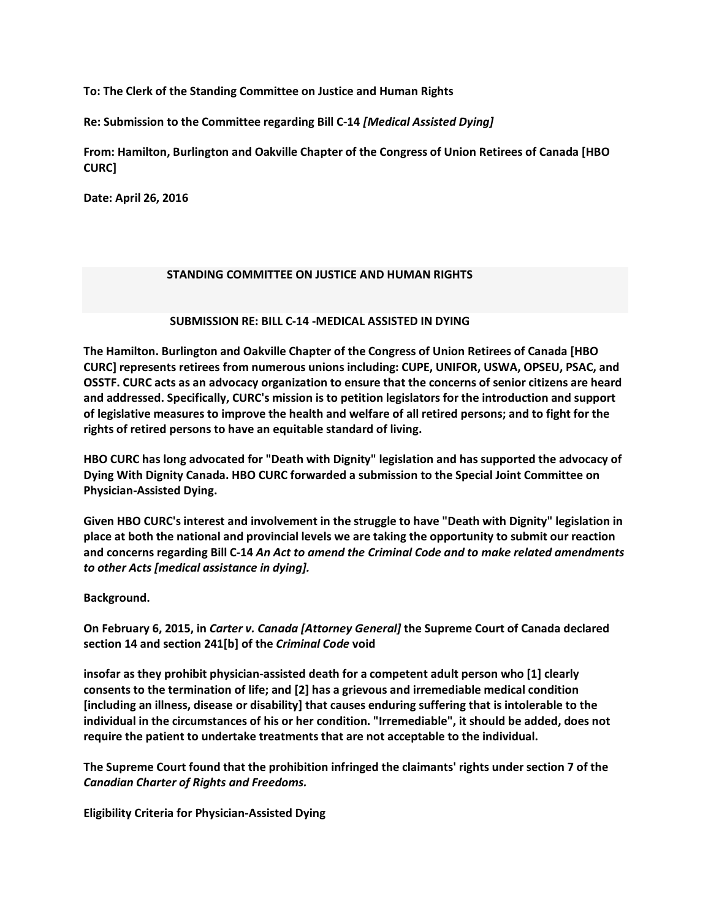**To: The Clerk of the Standing Committee on Justice and Human Rights**

**Re: Submission to the Committee regarding Bill C-14** *[Medical Assisted Dying]*

**From: Hamilton, Burlington and Oakville Chapter of the Congress of Union Retirees of Canada [HBO CURC]**

**Date: April 26, 2016**

## **STANDING COMMITTEE ON JUSTICE AND HUMAN RIGHTS**

## **SUBMISSION RE: BILL C-14 -MEDICAL ASSISTED IN DYING**

**The Hamilton. Burlington and Oakville Chapter of the Congress of Union Retirees of Canada [HBO CURC] represents retirees from numerous unions including: CUPE, UNIFOR, USWA, OPSEU, PSAC, and OSSTF. CURC acts as an advocacy organization to ensure that the concerns of senior citizens are heard and addressed. Specifically, CURC's mission is to petition legislators for the introduction and support of legislative measures to improve the health and welfare of all retired persons; and to fight for the rights of retired persons to have an equitable standard of living.**

**HBO CURC has long advocated for "Death with Dignity" legislation and has supported the advocacy of Dying With Dignity Canada. HBO CURC forwarded a submission to the Special Joint Committee on Physician-Assisted Dying.**

**Given HBO CURC's interest and involvement in the struggle to have "Death with Dignity" legislation in place at both the national and provincial levels we are taking the opportunity to submit our reaction and concerns regarding Bill C-14** *An Act to amend the Criminal Code and to make related amendments to other Acts [medical assistance in dying].*

**Background.**

**On February 6, 2015, in** *Carter v. Canada [Attorney General]* **the Supreme Court of Canada declared section 14 and section 241[b] of the** *Criminal Code* **void**

**insofar as they prohibit physician-assisted death for a competent adult person who [1] clearly consents to the termination of life; and [2] has a grievous and irremediable medical condition [including an illness, disease or disability] that causes enduring suffering that is intolerable to the individual in the circumstances of his or her condition. "Irremediable", it should be added, does not require the patient to undertake treatments that are not acceptable to the individual.**

**The Supreme Court found that the prohibition infringed the claimants' rights under section 7 of the**  *Canadian Charter of Rights and Freedoms.*

**Eligibility Criteria for Physician-Assisted Dying**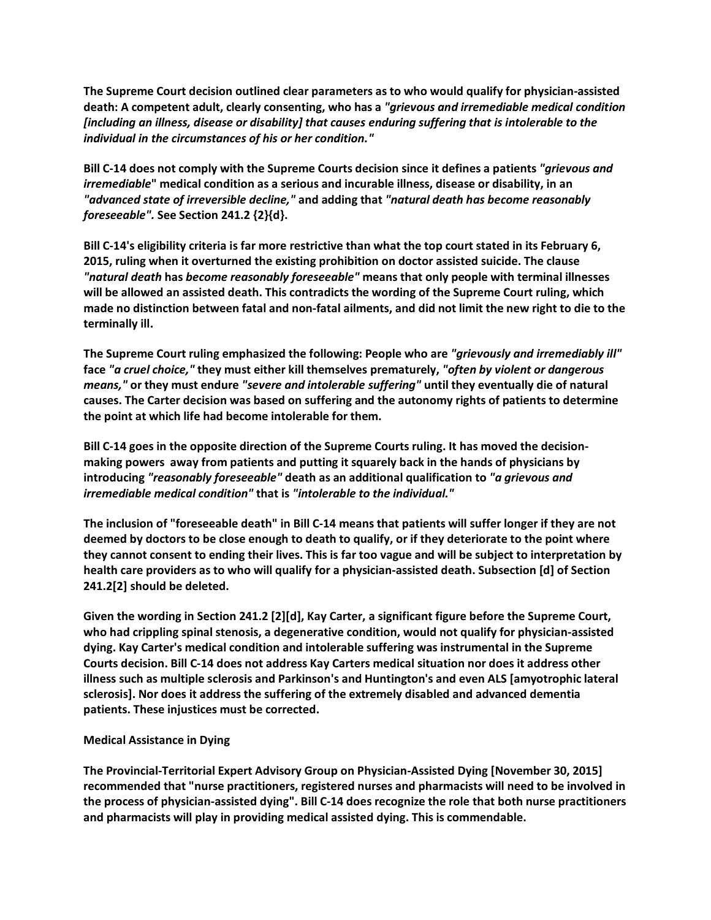**The Supreme Court decision outlined clear parameters as to who would qualify for physician-assisted death: A competent adult, clearly consenting, who has a** *"grievous and irremediable medical condition [including an illness, disease or disability] that causes enduring suffering that is intolerable to the individual in the circumstances of his or her condition."*

**Bill C-14 does not comply with the Supreme Courts decision since it defines a patients** *"grievous and irremediable***" medical condition as a serious and incurable illness, disease or disability, in an**  *"advanced state of irreversible decline,"* **and adding that** *"natural death has become reasonably foreseeable".* **See Section 241.2 {2}{d}.** 

**Bill C-14's eligibility criteria is far more restrictive than what the top court stated in its February 6, 2015, ruling when it overturned the existing prohibition on doctor assisted suicide. The clause**  *"natural death* **has** *become reasonably foreseeable"* **means that only people with terminal illnesses will be allowed an assisted death. This contradicts the wording of the Supreme Court ruling, which made no distinction between fatal and non-fatal ailments, and did not limit the new right to die to the terminally ill.**

**The Supreme Court ruling emphasized the following: People who are** *"grievously and irremediably ill"* **face** *"a cruel choice,"* **they must either kill themselves prematurely,** *"often by violent or dangerous means,"* **or they must endure** *"severe and intolerable suffering"* **until they eventually die of natural causes. The Carter decision was based on suffering and the autonomy rights of patients to determine the point at which life had become intolerable for them.**

**Bill C-14 goes in the opposite direction of the Supreme Courts ruling. It has moved the decisionmaking powers away from patients and putting it squarely back in the hands of physicians by introducing** *"reasonably foreseeable"* **death as an additional qualification to** *"a grievous and irremediable medical condition"* **that is** *"intolerable to the individual."*

**The inclusion of "foreseeable death" in Bill C-14 means that patients will suffer longer if they are not deemed by doctors to be close enough to death to qualify, or if they deteriorate to the point where they cannot consent to ending their lives. This is far too vague and will be subject to interpretation by health care providers as to who will qualify for a physician-assisted death. Subsection [d] of Section 241.2[2] should be deleted.**

**Given the wording in Section 241.2 [2][d], Kay Carter, a significant figure before the Supreme Court, who had crippling spinal stenosis, a degenerative condition, would not qualify for physician-assisted dying. Kay Carter's medical condition and intolerable suffering was instrumental in the Supreme Courts decision. Bill C-14 does not address Kay Carters medical situation nor does it address other illness such as multiple sclerosis and Parkinson's and Huntington's and even ALS [amyotrophic lateral sclerosis]. Nor does it address the suffering of the extremely disabled and advanced dementia patients. These injustices must be corrected.** 

# **Medical Assistance in Dying**

**The Provincial-Territorial Expert Advisory Group on Physician-Assisted Dying [November 30, 2015] recommended that "nurse practitioners, registered nurses and pharmacists will need to be involved in the process of physician-assisted dying". Bill C-14 does recognize the role that both nurse practitioners and pharmacists will play in providing medical assisted dying. This is commendable.**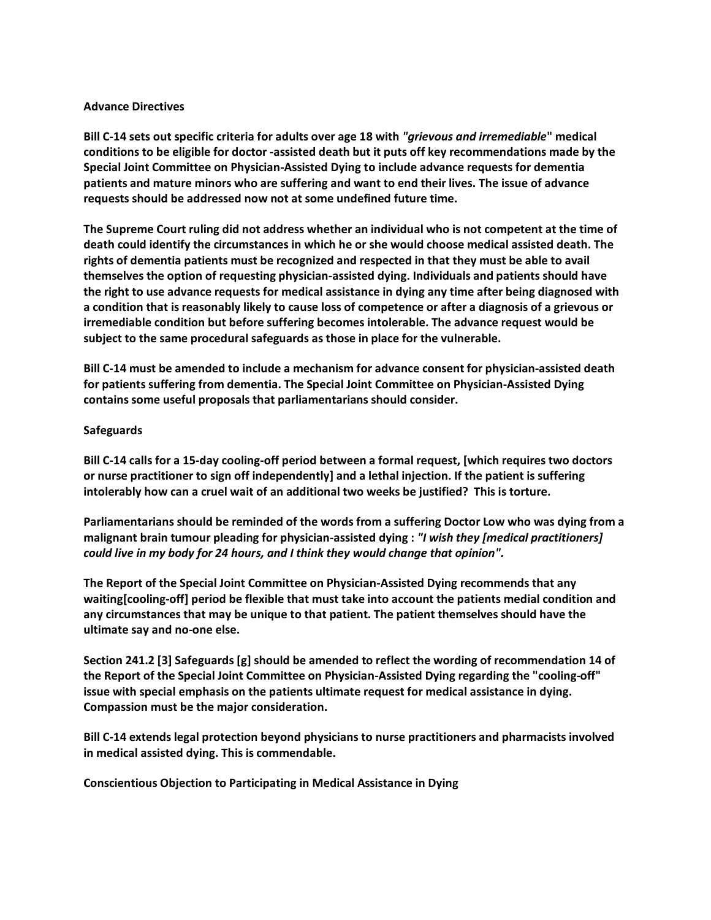## **Advance Directives**

**Bill C-14 sets out specific criteria for adults over age 18 with** *"grievous and irremediable***" medical conditions to be eligible for doctor -assisted death but it puts off key recommendations made by the Special Joint Committee on Physician-Assisted Dying to include advance requests for dementia patients and mature minors who are suffering and want to end their lives. The issue of advance requests should be addressed now not at some undefined future time.**

**The Supreme Court ruling did not address whether an individual who is not competent at the time of death could identify the circumstances in which he or she would choose medical assisted death. The rights of dementia patients must be recognized and respected in that they must be able to avail themselves the option of requesting physician-assisted dying. Individuals and patients should have the right to use advance requests for medical assistance in dying any time after being diagnosed with a condition that is reasonably likely to cause loss of competence or after a diagnosis of a grievous or irremediable condition but before suffering becomes intolerable. The advance request would be subject to the same procedural safeguards as those in place for the vulnerable.**

**Bill C-14 must be amended to include a mechanism for advance consent for physician-assisted death for patients suffering from dementia. The Special Joint Committee on Physician-Assisted Dying contains some useful proposals that parliamentarians should consider.**

## **Safeguards**

**Bill C-14 calls for a 15-day cooling-off period between a formal request, [which requires two doctors or nurse practitioner to sign off independently] and a lethal injection. If the patient is suffering intolerably how can a cruel wait of an additional two weeks be justified? This is torture.**

**Parliamentarians should be reminded of the words from a suffering Doctor Low who was dying from a malignant brain tumour pleading for physician-assisted dying :** *"I wish they [medical practitioners] could live in my body for 24 hours, and I think they would change that opinion".*

**The Report of the Special Joint Committee on Physician-Assisted Dying recommends that any waiting[cooling-off] period be flexible that must take into account the patients medial condition and any circumstances that may be unique to that patient. The patient themselves should have the ultimate say and no-one else.** 

**Section 241.2 [3] Safeguards [g] should be amended to reflect the wording of recommendation 14 of the Report of the Special Joint Committee on Physician-Assisted Dying regarding the "cooling-off" issue with special emphasis on the patients ultimate request for medical assistance in dying. Compassion must be the major consideration.**

**Bill C-14 extends legal protection beyond physicians to nurse practitioners and pharmacists involved in medical assisted dying. This is commendable.**

**Conscientious Objection to Participating in Medical Assistance in Dying**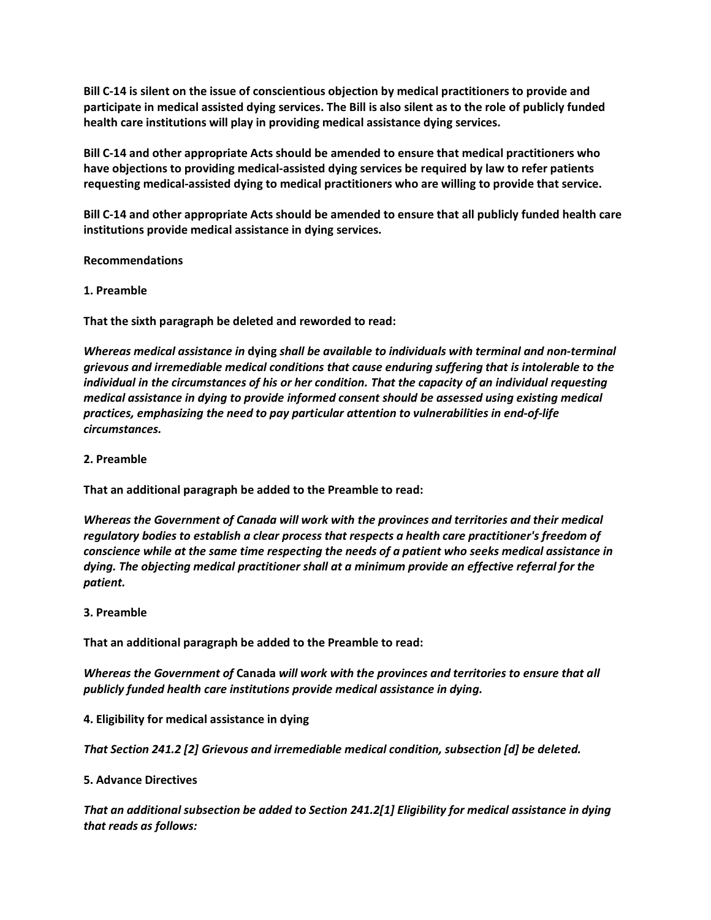**Bill C-14 is silent on the issue of conscientious objection by medical practitioners to provide and participate in medical assisted dying services. The Bill is also silent as to the role of publicly funded health care institutions will play in providing medical assistance dying services.**

**Bill C-14 and other appropriate Acts should be amended to ensure that medical practitioners who have objections to providing medical-assisted dying services be required by law to refer patients requesting medical-assisted dying to medical practitioners who are willing to provide that service.**

**Bill C-14 and other appropriate Acts should be amended to ensure that all publicly funded health care institutions provide medical assistance in dying services.**

**Recommendations**

## **1. Preamble**

**That the sixth paragraph be deleted and reworded to read:**

*Whereas medical assistance in* **dying** *shall be available to individuals with terminal and non-terminal grievous and irremediable medical conditions that cause enduring suffering that is intolerable to the individual in the circumstances of his or her condition. That the capacity of an individual requesting medical assistance in dying to provide informed consent should be assessed using existing medical practices, emphasizing the need to pay particular attention to vulnerabilities in end-of-life circumstances.*

## **2. Preamble**

**That an additional paragraph be added to the Preamble to read:**

*Whereas the Government of Canada will work with the provinces and territories and their medical regulatory bodies to establish a clear process that respects a health care practitioner's freedom of conscience while at the same time respecting the needs of a patient who seeks medical assistance in dying. The objecting medical practitioner shall at a minimum provide an effective referral for the patient.*

#### **3. Preamble**

**That an additional paragraph be added to the Preamble to read:**

*Whereas the Government of* **Canada** *will work with the provinces and territories to ensure that all publicly funded health care institutions provide medical assistance in dying.*

**4. Eligibility for medical assistance in dying**

*That Section 241.2 [2] Grievous and irremediable medical condition, subsection [d] be deleted.*

#### **5. Advance Directives**

*That an additional subsection be added to Section 241.2[1] Eligibility for medical assistance in dying that reads as follows:*